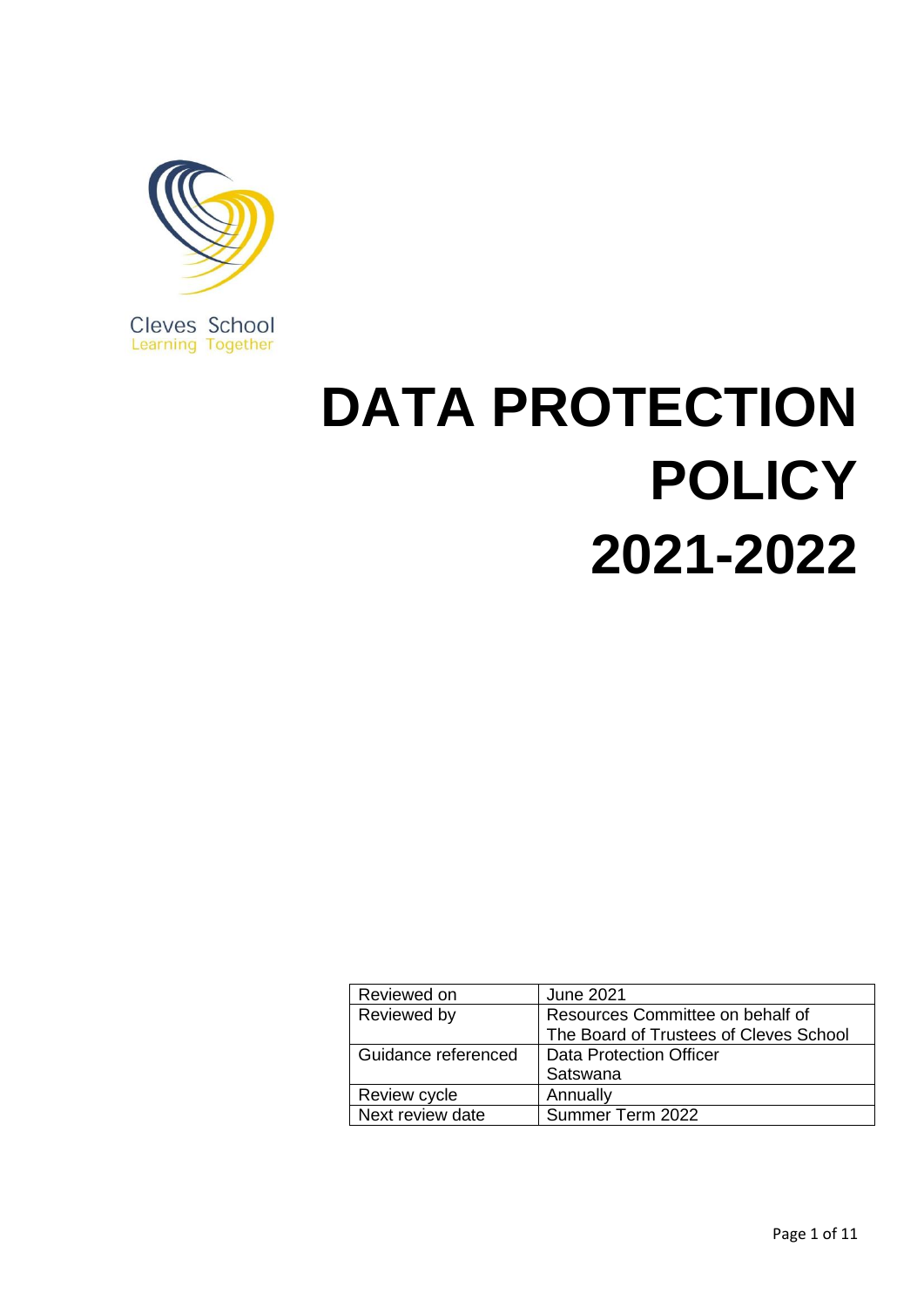

Cleves School<br>Learning Together

# **DATA PROTECTION POLICY 2021-2022**

| <b>June 2021</b>                       |
|----------------------------------------|
| Resources Committee on behalf of       |
| The Board of Trustees of Cleves School |
| <b>Data Protection Officer</b>         |
| Satswana                               |
| Annually                               |
| Summer Term 2022                       |
|                                        |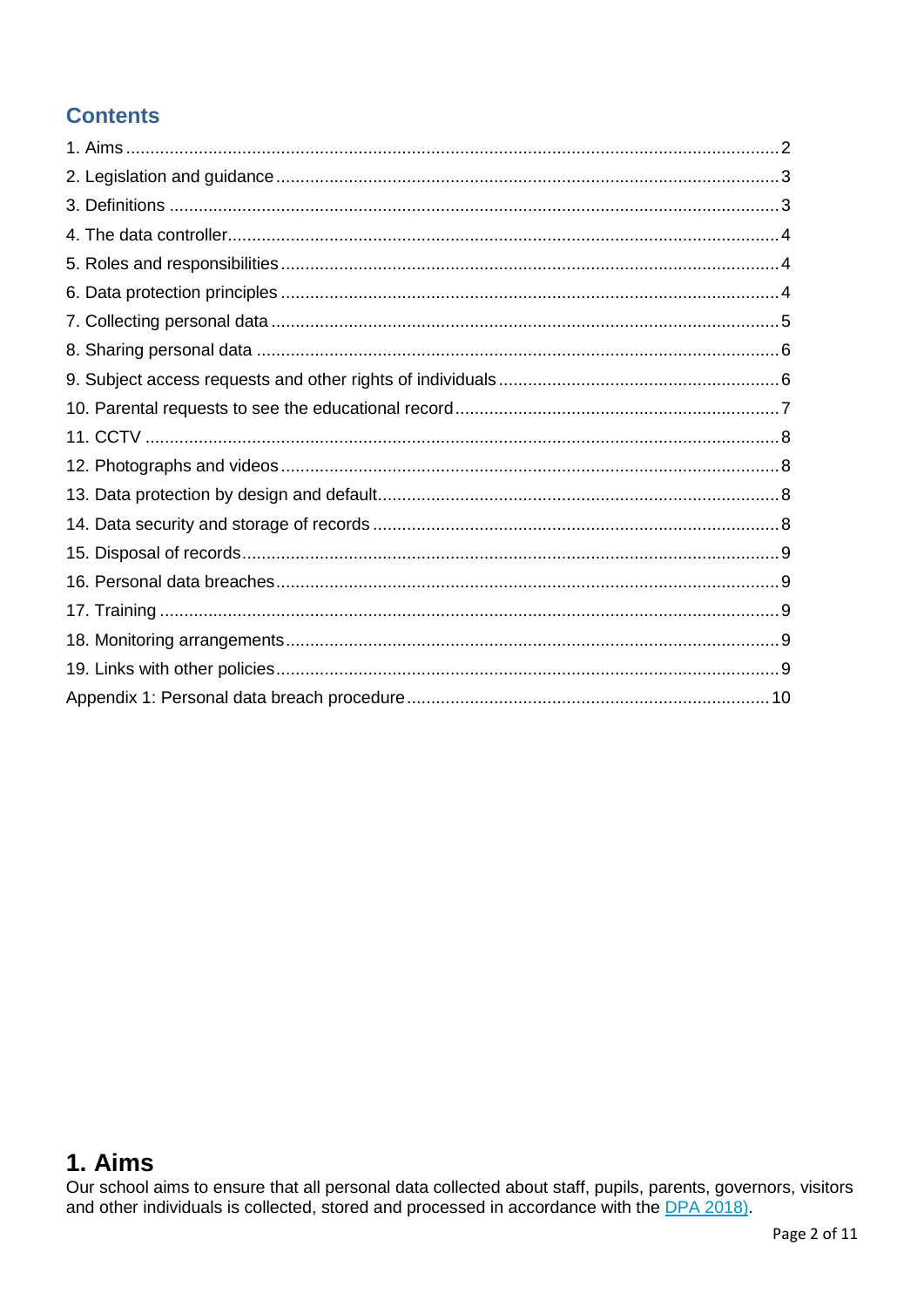## **Contents**

## 1. Aims

Our school aims to ensure that all personal data collected about staff, pupils, parents, governors, visitors and other individuals is collected, stored and processed in accordance with the **DPA 2018**).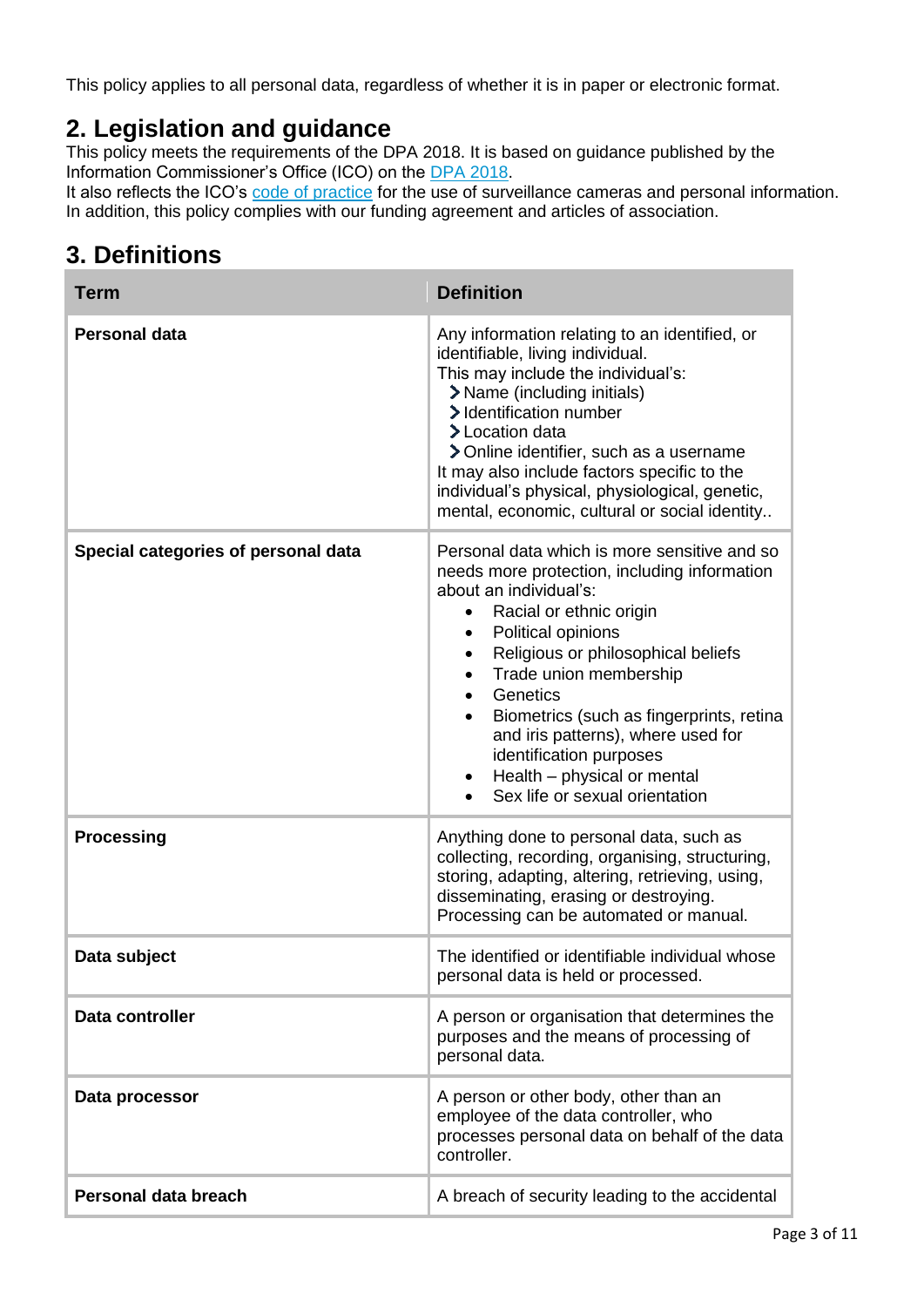This policy applies to all personal data, regardless of whether it is in paper or electronic format.

## **2. Legislation and guidance**

This policy meets the requirements of the DPA 2018. It is based on guidance published by the Information Commissioner's Office (ICO) on the DPA [2018.](https://ico.org.uk/for-organisations/guide-to-the-general-data-protection-regulation-gdpr/)

It also reflects the ICO's [code of practice](https://ico.org.uk/media/for-organisations/documents/1542/cctv-code-of-practice.pdf) for the use of surveillance cameras and personal information. In addition, this policy complies with our funding agreement and articles of association.

# **3. Definitions**

| <b>Term</b>                         | <b>Definition</b>                                                                                                                                                                                                                                                                                                                                                                                                                                                                                  |
|-------------------------------------|----------------------------------------------------------------------------------------------------------------------------------------------------------------------------------------------------------------------------------------------------------------------------------------------------------------------------------------------------------------------------------------------------------------------------------------------------------------------------------------------------|
| Personal data                       | Any information relating to an identified, or<br>identifiable, living individual.<br>This may include the individual's:<br>> Name (including initials)<br>> Identification number<br>> Location data<br>> Online identifier, such as a username<br>It may also include factors specific to the<br>individual's physical, physiological, genetic,<br>mental, economic, cultural or social identity                                                                                                  |
| Special categories of personal data | Personal data which is more sensitive and so<br>needs more protection, including information<br>about an individual's:<br>Racial or ethnic origin<br>$\bullet$<br>Political opinions<br>$\bullet$<br>Religious or philosophical beliefs<br>$\bullet$<br>Trade union membership<br>$\bullet$<br>Genetics<br>$\bullet$<br>Biometrics (such as fingerprints, retina<br>and iris patterns), where used for<br>identification purposes<br>Health - physical or mental<br>Sex life or sexual orientation |
| <b>Processing</b>                   | Anything done to personal data, such as<br>collecting, recording, organising, structuring,<br>storing, adapting, altering, retrieving, using,<br>disseminating, erasing or destroying.<br>Processing can be automated or manual.                                                                                                                                                                                                                                                                   |
| Data subject                        | The identified or identifiable individual whose<br>personal data is held or processed.                                                                                                                                                                                                                                                                                                                                                                                                             |
| Data controller                     | A person or organisation that determines the<br>purposes and the means of processing of<br>personal data.                                                                                                                                                                                                                                                                                                                                                                                          |
| Data processor                      | A person or other body, other than an<br>employee of the data controller, who<br>processes personal data on behalf of the data<br>controller.                                                                                                                                                                                                                                                                                                                                                      |
| Personal data breach                | A breach of security leading to the accidental                                                                                                                                                                                                                                                                                                                                                                                                                                                     |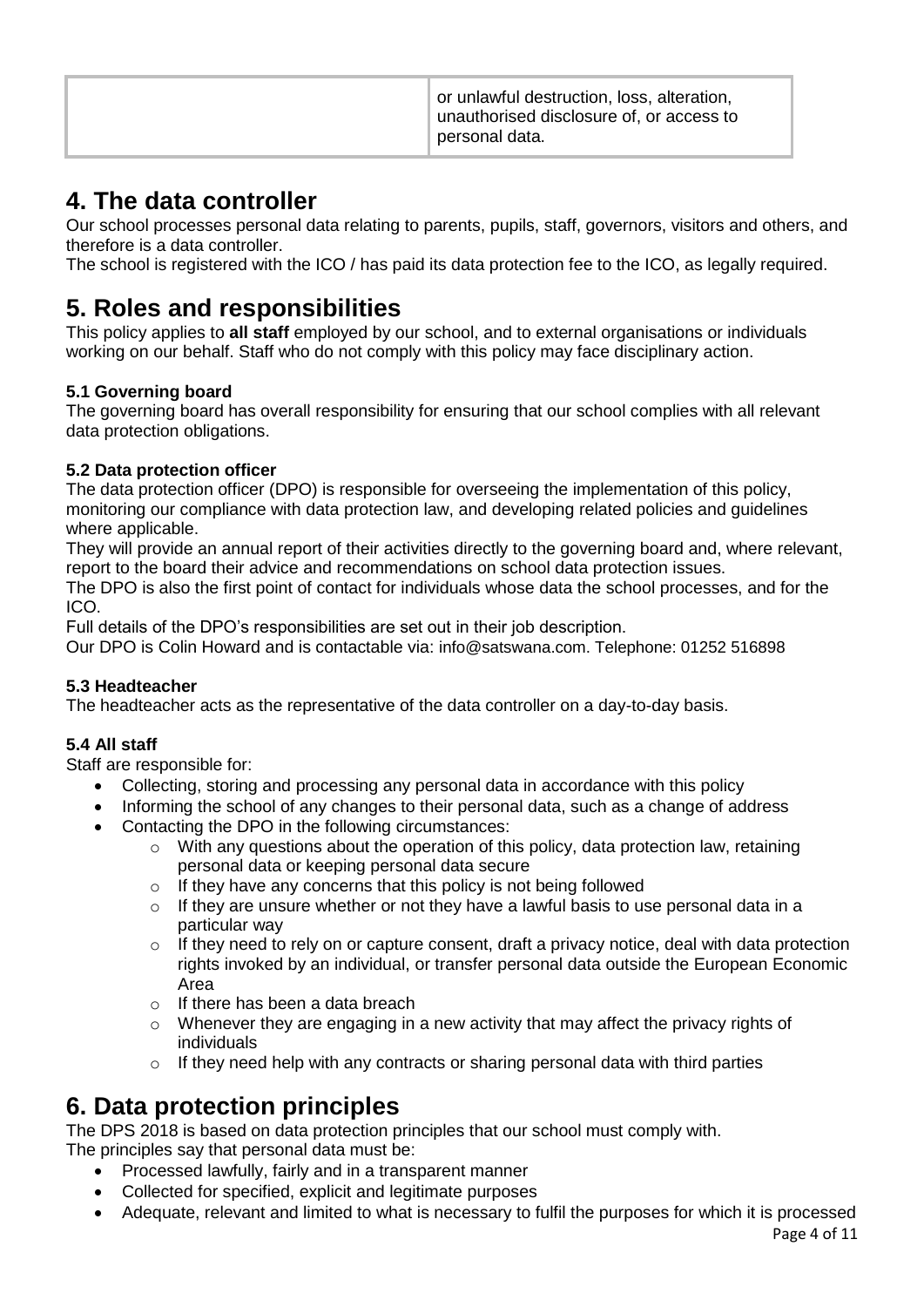| or unlawful destruction, loss, alteration,<br>unauthorised disclosure of, or access to<br><sup>↑</sup> personal data. |
|-----------------------------------------------------------------------------------------------------------------------|
|-----------------------------------------------------------------------------------------------------------------------|

## **4. The data controller**

Our school processes personal data relating to parents, pupils, staff, governors, visitors and others, and therefore is a data controller.

The school is registered with the ICO / has paid its data protection fee to the ICO, as legally required.

## **5. Roles and responsibilities**

This policy applies to **all staff** employed by our school, and to external organisations or individuals working on our behalf. Staff who do not comply with this policy may face disciplinary action.

#### **5.1 Governing board**

The governing board has overall responsibility for ensuring that our school complies with all relevant data protection obligations.

#### **5.2 Data protection officer**

The data protection officer (DPO) is responsible for overseeing the implementation of this policy, monitoring our compliance with data protection law, and developing related policies and guidelines where applicable.

They will provide an annual report of their activities directly to the governing board and, where relevant, report to the board their advice and recommendations on school data protection issues.

The DPO is also the first point of contact for individuals whose data the school processes, and for the ICO.

Full details of the DPO's responsibilities are set out in their job description.

Our DPO is Colin Howard and is contactable via: info@satswana.com. Telephone: 01252 516898

#### **5.3 Headteacher**

The headteacher acts as the representative of the data controller on a day-to-day basis.

#### **5.4 All staff**

Staff are responsible for:

- Collecting, storing and processing any personal data in accordance with this policy
- Informing the school of any changes to their personal data, such as a change of address
- Contacting the DPO in the following circumstances:
	- o With any questions about the operation of this policy, data protection law, retaining personal data or keeping personal data secure
	- o If they have any concerns that this policy is not being followed
	- o If they are unsure whether or not they have a lawful basis to use personal data in a particular way
	- $\circ$  If they need to rely on or capture consent, draft a privacy notice, deal with data protection rights invoked by an individual, or transfer personal data outside the European Economic Area
	- o If there has been a data breach
	- $\circ$  Whenever they are engaging in a new activity that may affect the privacy rights of individuals
	- $\circ$  If they need help with any contracts or sharing personal data with third parties

## **6. Data protection principles**

The DPS 2018 is based on data protection principles that our school must comply with. The principles say that personal data must be:

- Processed lawfully, fairly and in a transparent manner
- Collected for specified, explicit and legitimate purposes
- Adequate, relevant and limited to what is necessary to fulfil the purposes for which it is processed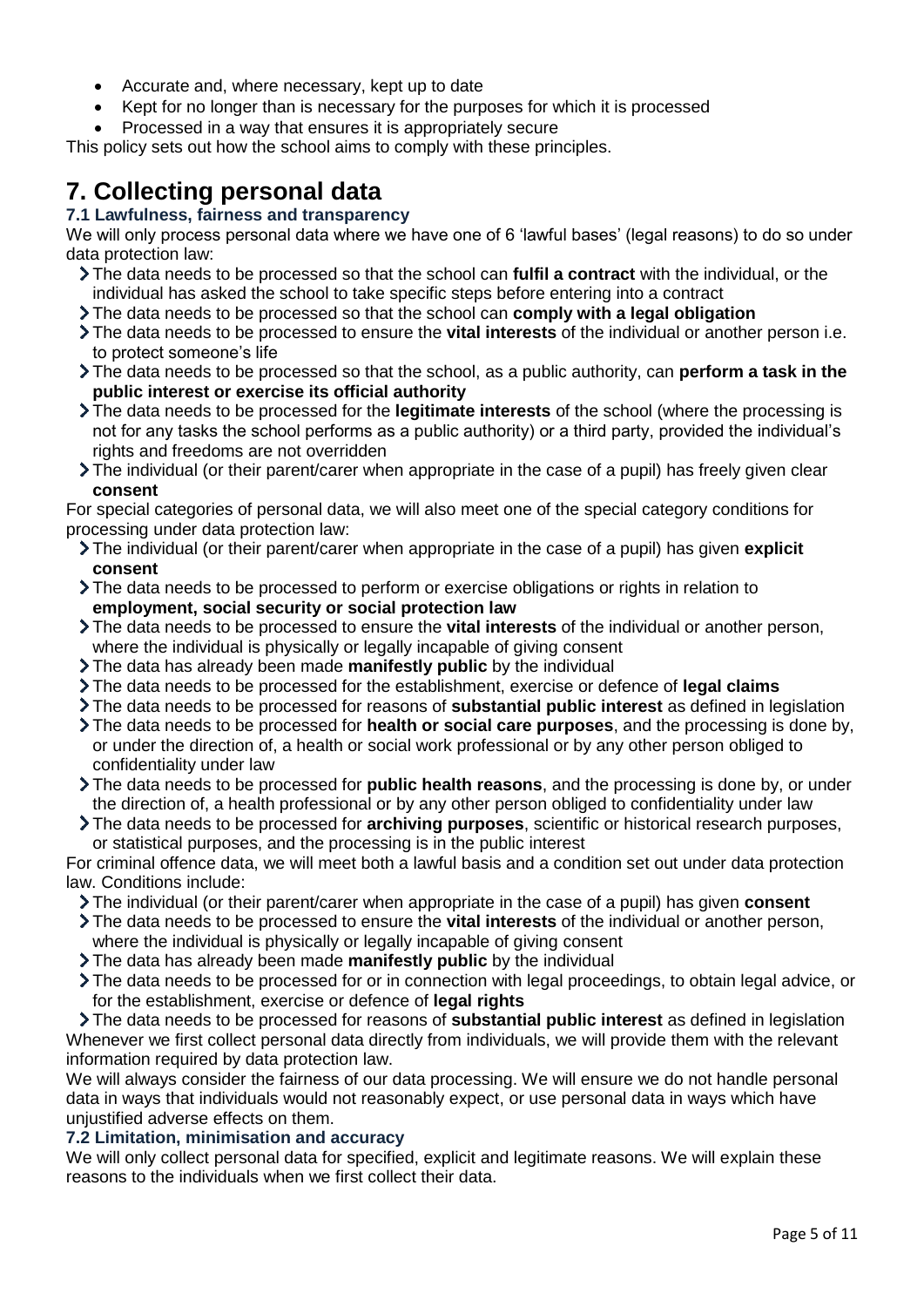- Accurate and, where necessary, kept up to date
- Kept for no longer than is necessary for the purposes for which it is processed
- Processed in a way that ensures it is appropriately secure

This policy sets out how the school aims to comply with these principles.

## **7. Collecting personal data**

#### **7.1 Lawfulness, fairness and transparency**

We will only process personal data where we have one of 6 'lawful bases' (legal reasons) to do so under data protection law:

- The data needs to be processed so that the school can **fulfil a contract** with the individual, or the individual has asked the school to take specific steps before entering into a contract
- The data needs to be processed so that the school can **comply with a legal obligation**
- The data needs to be processed to ensure the **vital interests** of the individual or another person i.e. to protect someone's life
- The data needs to be processed so that the school, as a public authority, can **perform a task in the public interest or exercise its official authority**
- The data needs to be processed for the **legitimate interests** of the school (where the processing is not for any tasks the school performs as a public authority) or a third party, provided the individual's rights and freedoms are not overridden
- The individual (or their parent/carer when appropriate in the case of a pupil) has freely given clear **consent**

For special categories of personal data, we will also meet one of the special category conditions for processing under data protection law:

- The individual (or their parent/carer when appropriate in the case of a pupil) has given **explicit consent**
- The data needs to be processed to perform or exercise obligations or rights in relation to **employment, social security or social protection law**
- The data needs to be processed to ensure the **vital interests** of the individual or another person, where the individual is physically or legally incapable of giving consent
- The data has already been made **manifestly public** by the individual
- The data needs to be processed for the establishment, exercise or defence of **legal claims**
- The data needs to be processed for reasons of **substantial public interest** as defined in legislation
- The data needs to be processed for **health or social care purposes**, and the processing is done by, or under the direction of, a health or social work professional or by any other person obliged to confidentiality under law
- The data needs to be processed for **public health reasons**, and the processing is done by, or under the direction of, a health professional or by any other person obliged to confidentiality under law
- The data needs to be processed for **archiving purposes**, scientific or historical research purposes, or statistical purposes, and the processing is in the public interest

For criminal offence data, we will meet both a lawful basis and a condition set out under data protection law. Conditions include:

- The individual (or their parent/carer when appropriate in the case of a pupil) has given **consent**
- The data needs to be processed to ensure the **vital interests** of the individual or another person, where the individual is physically or legally incapable of giving consent
- The data has already been made **manifestly public** by the individual
- The data needs to be processed for or in connection with legal proceedings, to obtain legal advice, or for the establishment, exercise or defence of **legal rights**

The data needs to be processed for reasons of **substantial public interest** as defined in legislation Whenever we first collect personal data directly from individuals, we will provide them with the relevant information required by data protection law.

We will always consider the fairness of our data processing. We will ensure we do not handle personal data in ways that individuals would not reasonably expect, or use personal data in ways which have unjustified adverse effects on them.

#### **7.2 Limitation, minimisation and accuracy**

We will only collect personal data for specified, explicit and legitimate reasons. We will explain these reasons to the individuals when we first collect their data.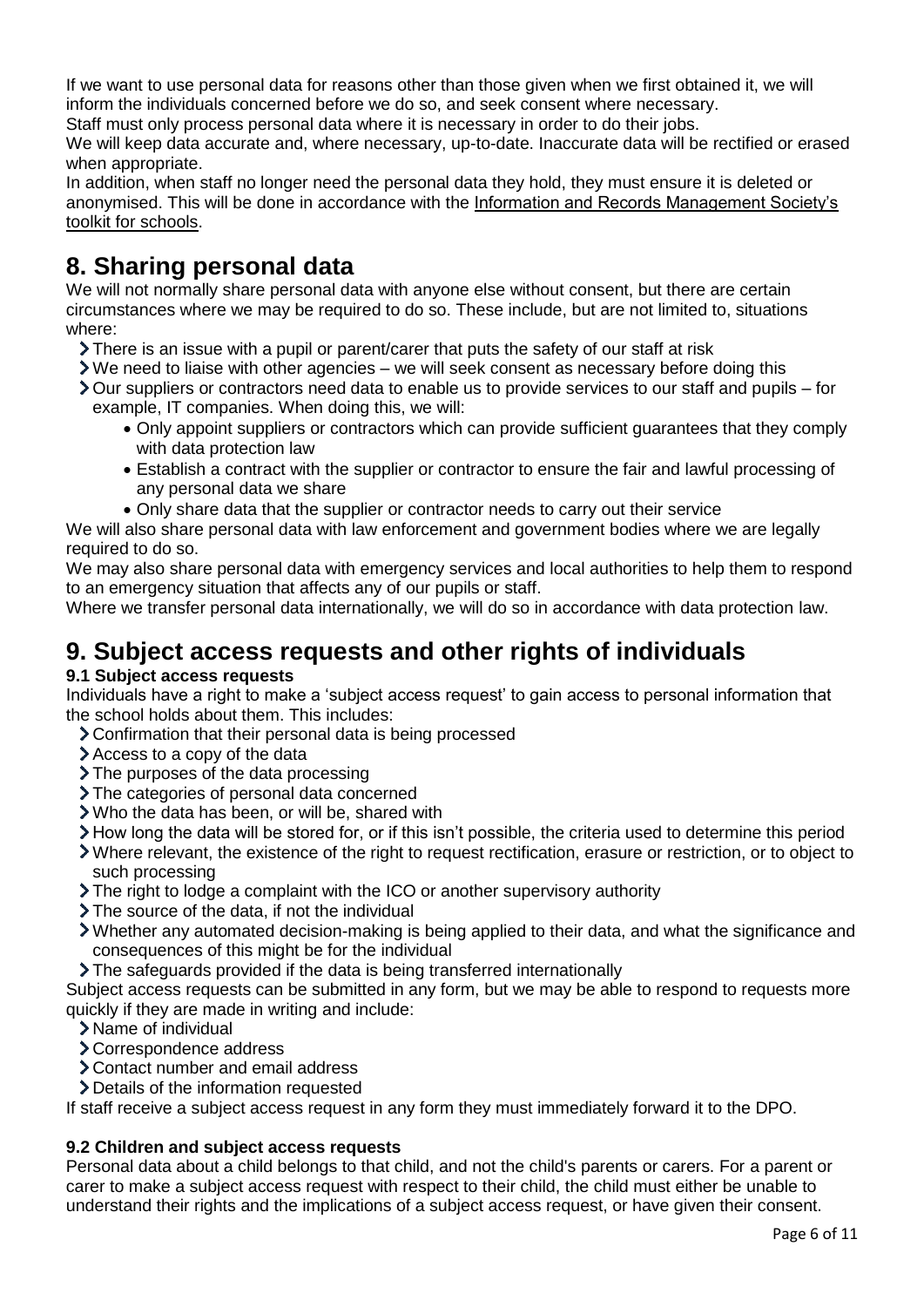If we want to use personal data for reasons other than those given when we first obtained it, we will inform the individuals concerned before we do so, and seek consent where necessary.

Staff must only process personal data where it is necessary in order to do their jobs.

We will keep data accurate and, where necessary, up-to-date. Inaccurate data will be rectified or erased when appropriate.

In addition, when staff no longer need the personal data they hold, they must ensure it is deleted or anonymised. This will be done in accordance with the [Information and Records Management Society's](http://irms.org.uk/?page=schoolstoolkit&terms=%22toolkit+and+schools%22)  [toolkit for schools.](http://irms.org.uk/?page=schoolstoolkit&terms=%22toolkit+and+schools%22)

## **8. Sharing personal data**

We will not normally share personal data with anyone else without consent, but there are certain circumstances where we may be required to do so. These include, but are not limited to, situations where:

- $\sum$  There is an issue with a pupil or parent/carer that puts the safety of our staff at risk
- We need to liaise with other agencies we will seek consent as necessary before doing this
- Our suppliers or contractors need data to enable us to provide services to our staff and pupils for example, IT companies. When doing this, we will:
	- Only appoint suppliers or contractors which can provide sufficient guarantees that they comply with data protection law
	- Establish a contract with the supplier or contractor to ensure the fair and lawful processing of any personal data we share
	- Only share data that the supplier or contractor needs to carry out their service

We will also share personal data with law enforcement and government bodies where we are legally required to do so.

We may also share personal data with emergency services and local authorities to help them to respond to an emergency situation that affects any of our pupils or staff.

Where we transfer personal data internationally, we will do so in accordance with data protection law.

# **9. Subject access requests and other rights of individuals**

#### **9.1 Subject access requests**

Individuals have a right to make a 'subject access request' to gain access to personal information that the school holds about them. This includes:

- Confirmation that their personal data is being processed
- Access to a copy of the data
- > The purposes of the data processing
- > The categories of personal data concerned
- Who the data has been, or will be, shared with
- How long the data will be stored for, or if this isn't possible, the criteria used to determine this period
- Where relevant, the existence of the right to request rectification, erasure or restriction, or to object to such processing
- The right to lodge a complaint with the ICO or another supervisory authority
- > The source of the data, if not the individual
- Whether any automated decision-making is being applied to their data, and what the significance and consequences of this might be for the individual
- The safeguards provided if the data is being transferred internationally

Subject access requests can be submitted in any form, but we may be able to respond to requests more quickly if they are made in writing and include:

- Name of individual
- Correspondence address
- Contact number and email address
- > Details of the information requested

If staff receive a subject access request in any form they must immediately forward it to the DPO.

#### **9.2 Children and subject access requests**

Personal data about a child belongs to that child, and not the child's parents or carers. For a parent or carer to make a subject access request with respect to their child, the child must either be unable to understand their rights and the implications of a subject access request, or have given their consent.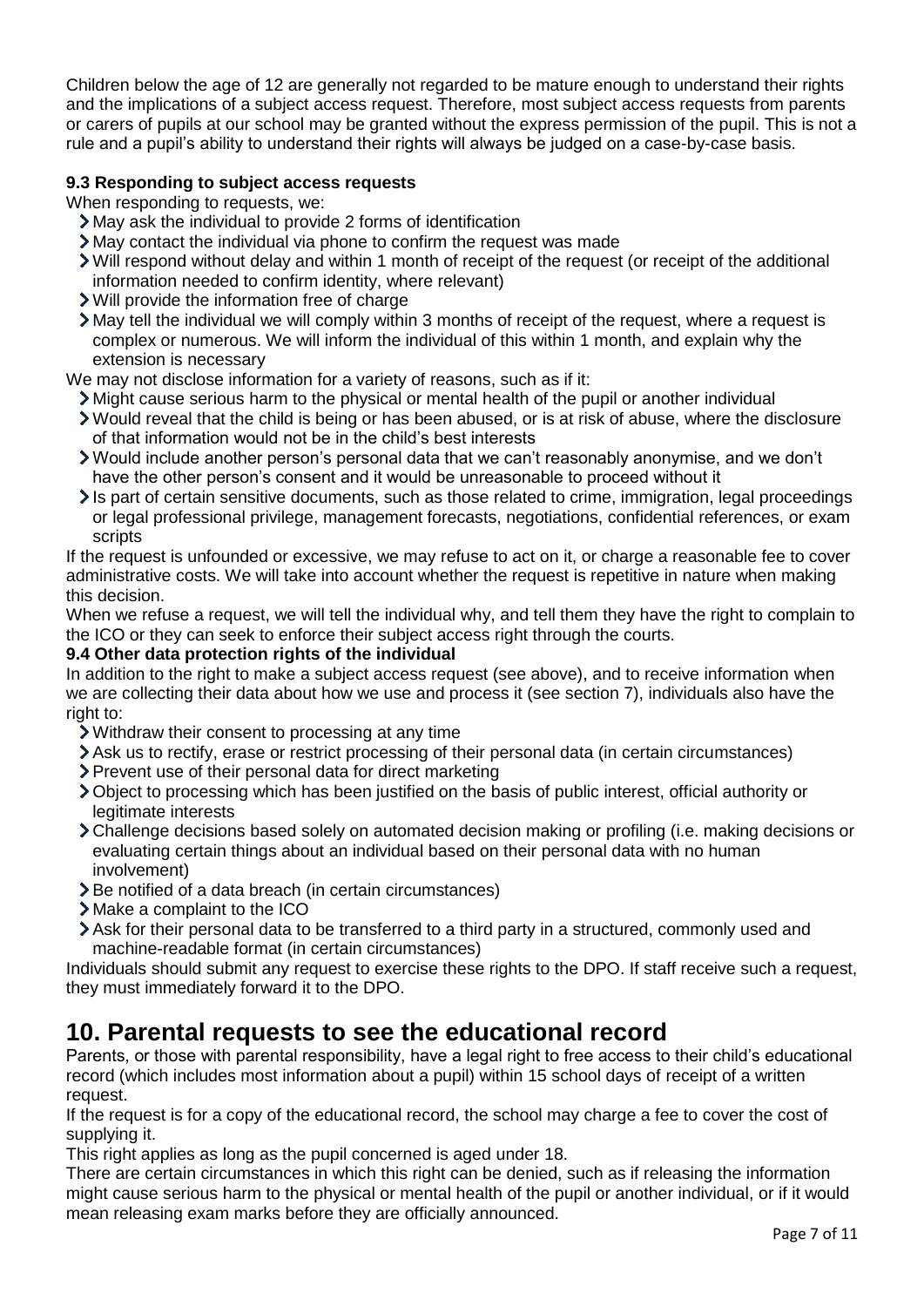Children below the age of 12 are generally not regarded to be mature enough to understand their rights and the implications of a subject access request. Therefore, most subject access requests from parents or carers of pupils at our school may be granted without the express permission of the pupil. This is not a rule and a pupil's ability to understand their rights will always be judged on a case-by-case basis.

#### **9.3 Responding to subject access requests**

When responding to requests, we:

- May ask the individual to provide 2 forms of identification
- May contact the individual via phone to confirm the request was made
- Will respond without delay and within 1 month of receipt of the request (or receipt of the additional information needed to confirm identity, where relevant)
- Will provide the information free of charge
- May tell the individual we will comply within 3 months of receipt of the request, where a request is complex or numerous. We will inform the individual of this within 1 month, and explain why the extension is necessary

We may not disclose information for a variety of reasons, such as if it:

- Might cause serious harm to the physical or mental health of the pupil or another individual
- Would reveal that the child is being or has been abused, or is at risk of abuse, where the disclosure of that information would not be in the child's best interests
- Would include another person's personal data that we can't reasonably anonymise, and we don't have the other person's consent and it would be unreasonable to proceed without it
- Is part of certain sensitive documents, such as those related to crime, immigration, legal proceedings or legal professional privilege, management forecasts, negotiations, confidential references, or exam scripts

If the request is unfounded or excessive, we may refuse to act on it, or charge a reasonable fee to cover administrative costs. We will take into account whether the request is repetitive in nature when making this decision.

When we refuse a request, we will tell the individual why, and tell them they have the right to complain to the ICO or they can seek to enforce their subject access right through the courts.

#### **9.4 Other data protection rights of the individual**

In addition to the right to make a subject access request (see above), and to receive information when we are collecting their data about how we use and process it (see section 7), individuals also have the right to:

- Withdraw their consent to processing at any time
- Ask us to rectify, erase or restrict processing of their personal data (in certain circumstances)
- Prevent use of their personal data for direct marketing
- Object to processing which has been justified on the basis of public interest, official authority or legitimate interests
- Challenge decisions based solely on automated decision making or profiling (i.e. making decisions or evaluating certain things about an individual based on their personal data with no human involvement)
- > Be notified of a data breach (in certain circumstances)
- Make a complaint to the ICO
- Ask for their personal data to be transferred to a third party in a structured, commonly used and machine-readable format (in certain circumstances)

Individuals should submit any request to exercise these rights to the DPO. If staff receive such a request, they must immediately forward it to the DPO.

### **10. Parental requests to see the educational record**

Parents, or those with parental responsibility, have a legal right to free access to their child's educational record (which includes most information about a pupil) within 15 school days of receipt of a written request.

If the request is for a copy of the educational record, the school may charge a fee to cover the cost of supplying it.

This right applies as long as the pupil concerned is aged under 18.

There are certain circumstances in which this right can be denied, such as if releasing the information might cause serious harm to the physical or mental health of the pupil or another individual, or if it would mean releasing exam marks before they are officially announced.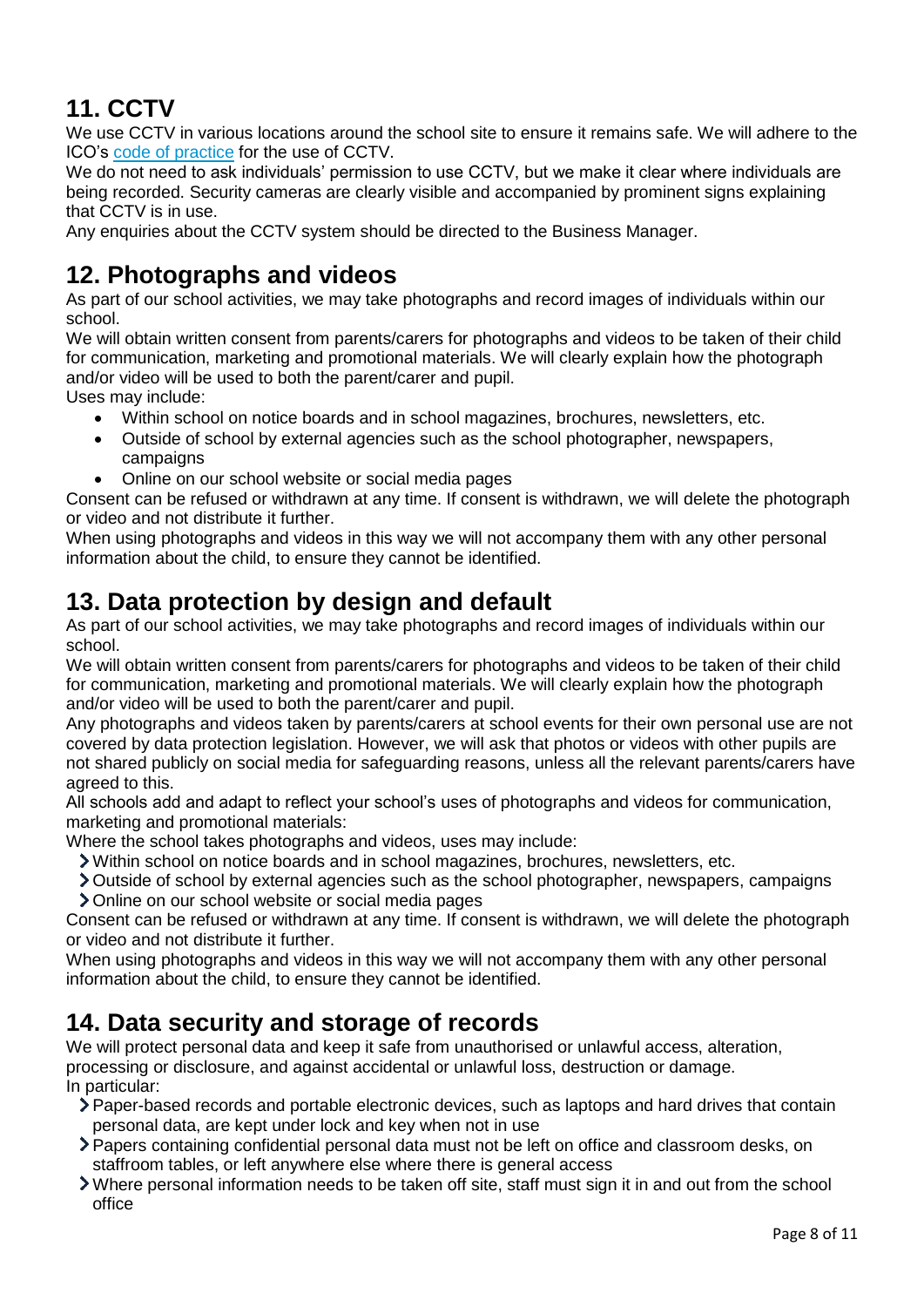# **11. CCTV**

We use CCTV in various locations around the school site to ensure it remains safe. We will adhere to the ICO's [code of practice](https://ico.org.uk/media/for-organisations/documents/1542/cctv-code-of-practice.pdf) for the use of CCTV.

We do not need to ask individuals' permission to use CCTV, but we make it clear where individuals are being recorded. Security cameras are clearly visible and accompanied by prominent signs explaining that CCTV is in use.

Any enquiries about the CCTV system should be directed to the Business Manager.

## **12. Photographs and videos**

As part of our school activities, we may take photographs and record images of individuals within our school.

We will obtain written consent from parents/carers for photographs and videos to be taken of their child for communication, marketing and promotional materials. We will clearly explain how the photograph and/or video will be used to both the parent/carer and pupil.

Uses may include:

- Within school on notice boards and in school magazines, brochures, newsletters, etc.
- Outside of school by external agencies such as the school photographer, newspapers, campaigns
- Online on our school website or social media pages

Consent can be refused or withdrawn at any time. If consent is withdrawn, we will delete the photograph or video and not distribute it further.

When using photographs and videos in this way we will not accompany them with any other personal information about the child, to ensure they cannot be identified.

## **13. Data protection by design and default**

As part of our school activities, we may take photographs and record images of individuals within our school.

We will obtain written consent from parents/carers for photographs and videos to be taken of their child for communication, marketing and promotional materials. We will clearly explain how the photograph and/or video will be used to both the parent/carer and pupil.

Any photographs and videos taken by parents/carers at school events for their own personal use are not covered by data protection legislation. However, we will ask that photos or videos with other pupils are not shared publicly on social media for safeguarding reasons, unless all the relevant parents/carers have agreed to this.

All schools add and adapt to reflect your school's uses of photographs and videos for communication, marketing and promotional materials:

Where the school takes photographs and videos, uses may include:

- Within school on notice boards and in school magazines, brochures, newsletters, etc.
- Outside of school by external agencies such as the school photographer, newspapers, campaigns Online on our school website or social media pages

Consent can be refused or withdrawn at any time. If consent is withdrawn, we will delete the photograph or video and not distribute it further.

When using photographs and videos in this way we will not accompany them with any other personal information about the child, to ensure they cannot be identified.

## **14. Data security and storage of records**

We will protect personal data and keep it safe from unauthorised or unlawful access, alteration, processing or disclosure, and against accidental or unlawful loss, destruction or damage. In particular:

- Paper-based records and portable electronic devices, such as laptops and hard drives that contain personal data, are kept under lock and key when not in use
- Papers containing confidential personal data must not be left on office and classroom desks, on staffroom tables, or left anywhere else where there is general access
- Where personal information needs to be taken off site, staff must sign it in and out from the school office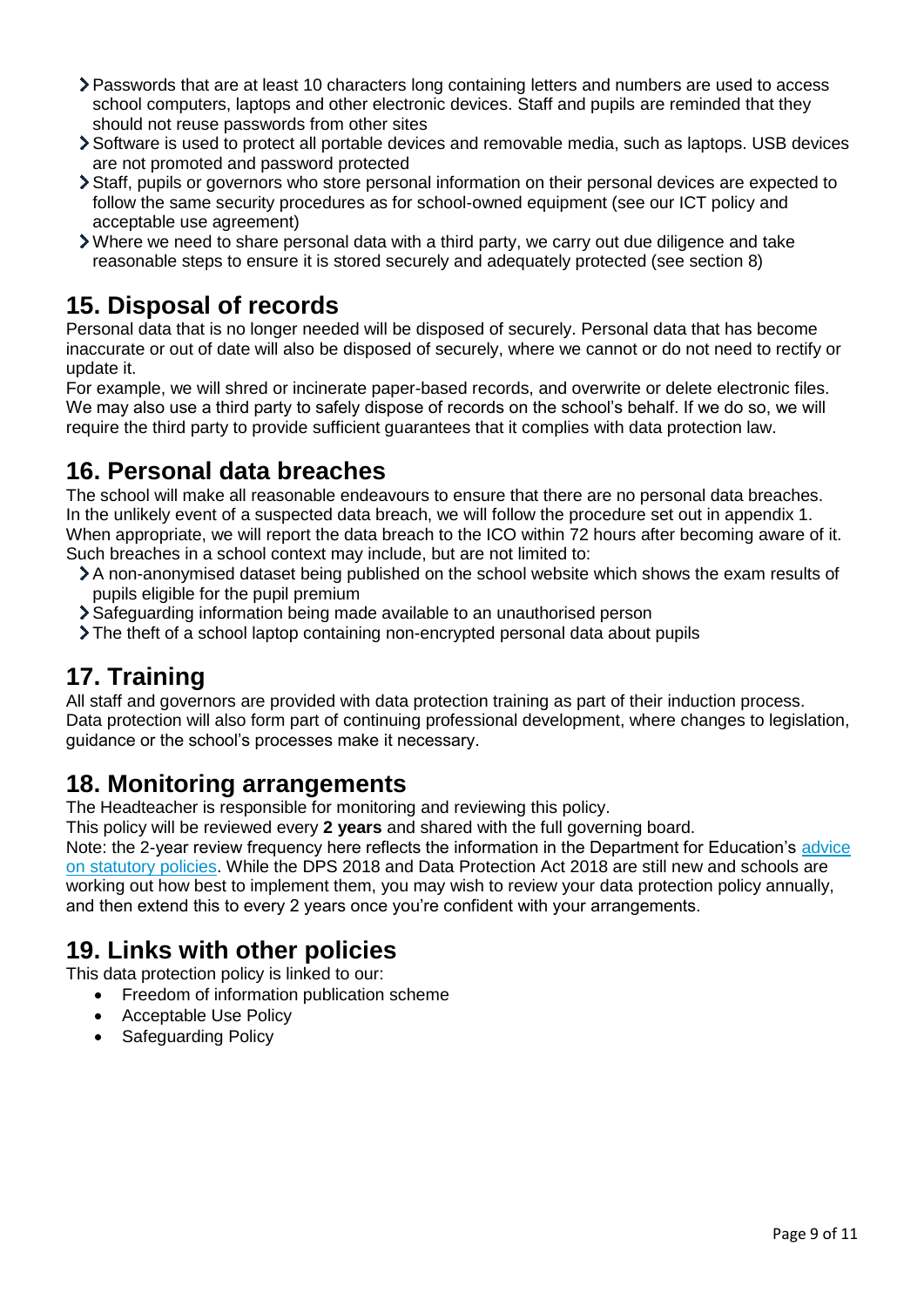- Passwords that are at least 10 characters long containing letters and numbers are used to access school computers, laptops and other electronic devices. Staff and pupils are reminded that they should not reuse passwords from other sites
- Software is used to protect all portable devices and removable media, such as laptops. USB devices are not promoted and password protected
- Staff, pupils or governors who store personal information on their personal devices are expected to follow the same security procedures as for school-owned equipment (see our ICT policy and acceptable use agreement)
- Where we need to share personal data with a third party, we carry out due diligence and take reasonable steps to ensure it is stored securely and adequately protected (see section 8)

## **15. Disposal of records**

Personal data that is no longer needed will be disposed of securely. Personal data that has become inaccurate or out of date will also be disposed of securely, where we cannot or do not need to rectify or update it.

For example, we will shred or incinerate paper-based records, and overwrite or delete electronic files. We may also use a third party to safely dispose of records on the school's behalf. If we do so, we will require the third party to provide sufficient guarantees that it complies with data protection law.

## **16. Personal data breaches**

The school will make all reasonable endeavours to ensure that there are no personal data breaches. In the unlikely event of a suspected data breach, we will follow the procedure set out in appendix 1. When appropriate, we will report the data breach to the ICO within 72 hours after becoming aware of it. Such breaches in a school context may include, but are not limited to:

- A non-anonymised dataset being published on the school website which shows the exam results of pupils eligible for the pupil premium
- Safeguarding information being made available to an unauthorised person
- The theft of a school laptop containing non-encrypted personal data about pupils

## **17. Training**

All staff and governors are provided with data protection training as part of their induction process. Data protection will also form part of continuing professional development, where changes to legislation, guidance or the school's processes make it necessary.

## **18. Monitoring arrangements**

The Headteacher is responsible for monitoring and reviewing this policy.

This policy will be reviewed every **2 years** and shared with the full governing board.

Note: the 2-year review frequency here reflects the information in the Department for Education's [advice](https://www.gov.uk/government/publications/statutory-policies-for-schools)  [on statutory policies.](https://www.gov.uk/government/publications/statutory-policies-for-schools) While the DPS 2018 and Data Protection Act 2018 are still new and schools are working out how best to implement them, you may wish to review your data protection policy annually, and then extend this to every 2 years once you're confident with your arrangements.

## **19. Links with other policies**

This data protection policy is linked to our:

- Freedom of information publication scheme
- Acceptable Use Policy
- Safeguarding Policy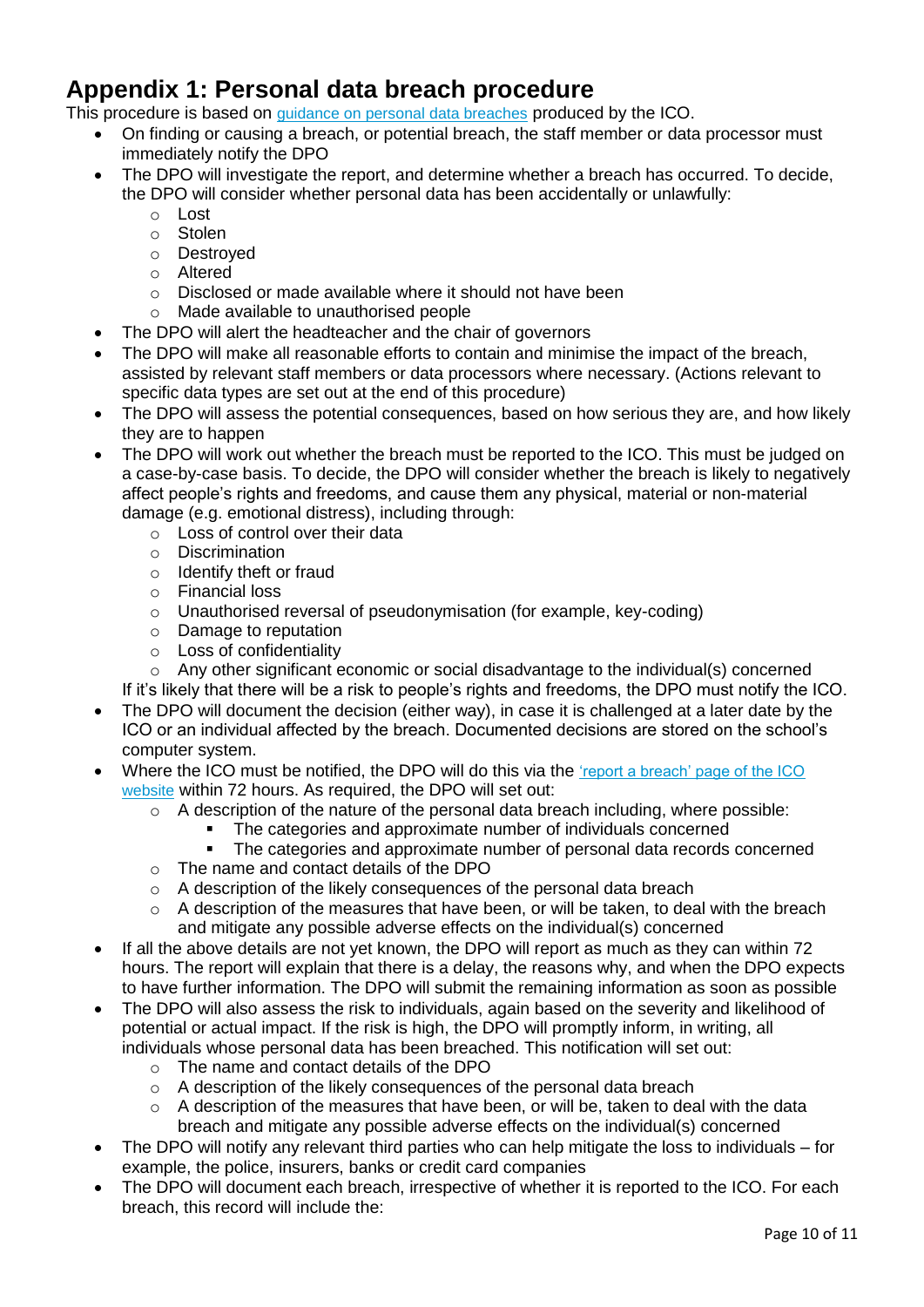## **Appendix 1: Personal data breach procedure**

This procedure is based on [guidance on personal data breaches](https://ico.org.uk/for-organisations/guide-to-the-general-data-protection-regulation-gdpr/personal-data-breaches/) produced by the ICO.

- On finding or causing a breach, or potential breach, the staff member or data processor must immediately notify the DPO
- The DPO will investigate the report, and determine whether a breach has occurred. To decide, the DPO will consider whether personal data has been accidentally or unlawfully:
	- o Lost
	- o Stolen
	- o Destroyed
	- o Altered
	- o Disclosed or made available where it should not have been
	- o Made available to unauthorised people
- The DPO will alert the headteacher and the chair of governors
- The DPO will make all reasonable efforts to contain and minimise the impact of the breach, assisted by relevant staff members or data processors where necessary. (Actions relevant to specific data types are set out at the end of this procedure)
- The DPO will assess the potential consequences, based on how serious they are, and how likely they are to happen
- The DPO will work out whether the breach must be reported to the ICO. This must be judged on a case-by-case basis. To decide, the DPO will consider whether the breach is likely to negatively affect people's rights and freedoms, and cause them any physical, material or non-material damage (e.g. emotional distress), including through:
	- o Loss of control over their data
	- o Discrimination
	- o Identify theft or fraud
	- o Financial loss
	- o Unauthorised reversal of pseudonymisation (for example, key-coding)
	- o Damage to reputation
	- o Loss of confidentiality
	- o Any other significant economic or social disadvantage to the individual(s) concerned

If it's likely that there will be a risk to people's rights and freedoms, the DPO must notify the ICO.

- The DPO will document the decision (either way), in case it is challenged at a later date by the ICO or an individual affected by the breach. Documented decisions are stored on the school's computer system.
- Where the ICO must be notified, the DPO will do this via the ['report a breach' page of the ICO](https://ico.org.uk/for-organisations/report-a-breach/)  [website](https://ico.org.uk/for-organisations/report-a-breach/) within 72 hours. As required, the DPO will set out:
	- $\circ$  A description of the nature of the personal data breach including, where possible:
		- The categories and approximate number of individuals concerned<br>■ The categories and approximate number of personal data records
		- The categories and approximate number of personal data records concerned
	- o The name and contact details of the DPO
	- o A description of the likely consequences of the personal data breach
	- o A description of the measures that have been, or will be taken, to deal with the breach and mitigate any possible adverse effects on the individual(s) concerned
- If all the above details are not yet known, the DPO will report as much as they can within 72 hours. The report will explain that there is a delay, the reasons why, and when the DPO expects to have further information. The DPO will submit the remaining information as soon as possible
- The DPO will also assess the risk to individuals, again based on the severity and likelihood of potential or actual impact. If the risk is high, the DPO will promptly inform, in writing, all individuals whose personal data has been breached. This notification will set out:
	- o The name and contact details of the DPO
	- o A description of the likely consequences of the personal data breach
	- $\circ$  A description of the measures that have been, or will be, taken to deal with the data breach and mitigate any possible adverse effects on the individual(s) concerned
- The DPO will notify any relevant third parties who can help mitigate the loss to individuals for example, the police, insurers, banks or credit card companies
- The DPO will document each breach, irrespective of whether it is reported to the ICO. For each breach, this record will include the: